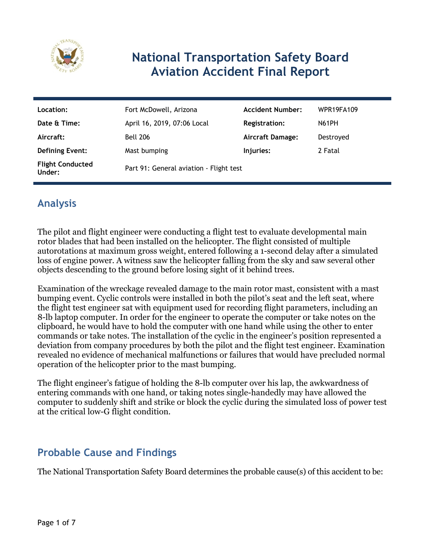

# **National Transportation Safety Board Aviation Accident Final Report**

| Location:                         | Fort McDowell, Arizona                  | <b>Accident Number:</b> | <b>WPR19FA109</b> |
|-----------------------------------|-----------------------------------------|-------------------------|-------------------|
| Date & Time:                      | April 16, 2019, 07:06 Local             | Registration:           | <b>N61PH</b>      |
| Aircraft:                         | <b>Bell 206</b>                         | <b>Aircraft Damage:</b> | Destroyed         |
| <b>Defining Event:</b>            | Mast bumping                            | Injuries:               | 2 Fatal           |
| <b>Flight Conducted</b><br>Under: | Part 91: General aviation - Flight test |                         |                   |

## **Analysis**

The pilot and flight engineer were conducting a flight test to evaluate developmental main rotor blades that had been installed on the helicopter. The flight consisted of multiple autorotations at maximum gross weight, entered following a 1-second delay after a simulated loss of engine power. A witness saw the helicopter falling from the sky and saw several other objects descending to the ground before losing sight of it behind trees.

Examination of the wreckage revealed damage to the main rotor mast, consistent with a mast bumping event. Cyclic controls were installed in both the pilot's seat and the left seat, where the flight test engineer sat with equipment used for recording flight parameters, including an 8-lb laptop computer. In order for the engineer to operate the computer or take notes on the clipboard, he would have to hold the computer with one hand while using the other to enter commands or take notes. The installation of the cyclic in the engineer's position represented a deviation from company procedures by both the pilot and the flight test engineer. Examination revealed no evidence of mechanical malfunctions or failures that would have precluded normal operation of the helicopter prior to the mast bumping.

The flight engineer's fatigue of holding the 8-lb computer over his lap, the awkwardness of entering commands with one hand, or taking notes single-handedly may have allowed the computer to suddenly shift and strike or block the cyclic during the simulated loss of power test at the critical low-G flight condition.

## **Probable Cause and Findings**

The National Transportation Safety Board determines the probable cause(s) of this accident to be: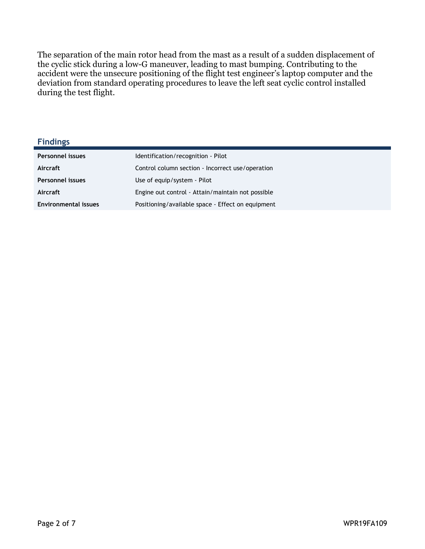The separation of the main rotor head from the mast as a result of a sudden displacement of the cyclic stick during a low-G maneuver, leading to mast bumping. Contributing to the accident were the unsecure positioning of the flight test engineer's laptop computer and the deviation from standard operating procedures to leave the left seat cyclic control installed during the test flight.

**Findings**

| <b>Personnel issues</b>     | Identification/recognition - Pilot                |
|-----------------------------|---------------------------------------------------|
| Aircraft                    | Control column section - Incorrect use/operation  |
| <b>Personnel issues</b>     | Use of equip/system - Pilot                       |
| Aircraft                    | Engine out control - Attain/maintain not possible |
| <b>Environmental issues</b> | Positioning/available space - Effect on equipment |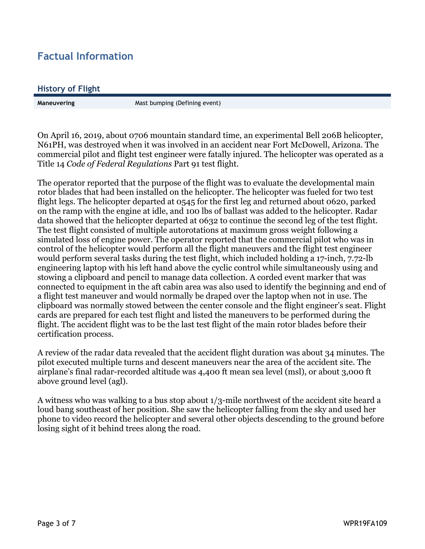## **Factual Information**

#### **History of Flight**

**Maneuvering** Mast bumping (Defining event)

On April 16, 2019, about 0706 mountain standard time, an experimental Bell 206B helicopter, N61PH, was destroyed when it was involved in an accident near Fort McDowell, Arizona. The commercial pilot and flight test engineer were fatally injured. The helicopter was operated as a Title 14 *Code of Federal Regulations* Part 91 test flight*.* 

The operator reported that the purpose of the flight was to evaluate the developmental main rotor blades that had been installed on the helicopter. The helicopter was fueled for two test flight legs. The helicopter departed at 0545 for the first leg and returned about 0620, parked on the ramp with the engine at idle, and 100 lbs of ballast was added to the helicopter. Radar data showed that the helicopter departed at 0632 to continue the second leg of the test flight. The test flight consisted of multiple autorotations at maximum gross weight following a simulated loss of engine power. The operator reported that the commercial pilot who was in control of the helicopter would perform all the flight maneuvers and the flight test engineer would perform several tasks during the test flight, which included holding a 17-inch, 7.72-lb engineering laptop with his left hand above the cyclic control while simultaneously using and stowing a clipboard and pencil to manage data collection. A corded event marker that was connected to equipment in the aft cabin area was also used to identify the beginning and end of a flight test maneuver and would normally be draped over the laptop when not in use. The clipboard was normally stowed between the center console and the flight engineer's seat. Flight cards are prepared for each test flight and listed the maneuvers to be performed during the flight. The accident flight was to be the last test flight of the main rotor blades before their certification process.

A review of the radar data revealed that the accident flight duration was about 34 minutes. The pilot executed multiple turns and descent maneuvers near the area of the accident site. The airplane's final radar-recorded altitude was 4,400 ft mean sea level (msl), or about 3,000 ft above ground level (agl).

A witness who was walking to a bus stop about 1/3-mile northwest of the accident site heard a loud bang southeast of her position. She saw the helicopter falling from the sky and used her phone to video record the helicopter and several other objects descending to the ground before losing sight of it behind trees along the road.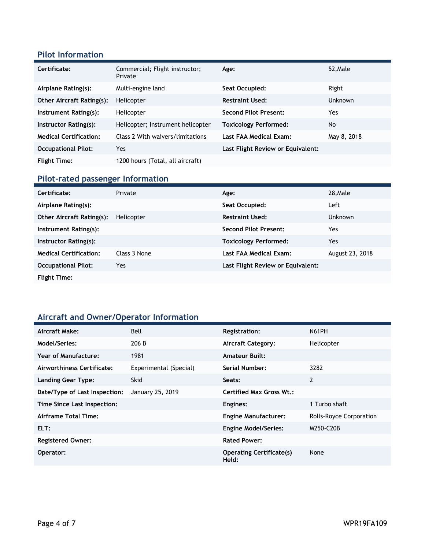### **Pilot Information**

| Certificate:                     | Commercial; Flight instructor;<br>Private | Age:                              | 52, Male    |
|----------------------------------|-------------------------------------------|-----------------------------------|-------------|
| Airplane Rating(s):              | Multi-engine land                         | Seat Occupied:                    | Right       |
| <b>Other Aircraft Rating(s):</b> | Helicopter                                | <b>Restraint Used:</b>            | Unknown     |
| Instrument Rating(s):            | Helicopter                                | <b>Second Pilot Present:</b>      | Yes         |
| Instructor Rating(s):            | Helicopter; Instrument helicopter         | <b>Toxicology Performed:</b>      | <b>No</b>   |
| <b>Medical Certification:</b>    | Class 2 With waivers/limitations          | Last FAA Medical Exam:            | May 8, 2018 |
| <b>Occupational Pilot:</b>       | Yes                                       | Last Flight Review or Equivalent: |             |
| <b>Flight Time:</b>              | 1200 hours (Total, all aircraft)          |                                   |             |

### **Pilot-rated passenger Information**

| Certificate:                     | Private      | Age:                              | 28, Male        |
|----------------------------------|--------------|-----------------------------------|-----------------|
| Airplane Rating(s):              |              | Seat Occupied:                    | Left            |
| <b>Other Aircraft Rating(s):</b> | Helicopter   | <b>Restraint Used:</b>            | <b>Unknown</b>  |
| Instrument Rating(s):            |              | <b>Second Pilot Present:</b>      | Yes             |
| Instructor Rating(s):            |              | <b>Toxicology Performed:</b>      | Yes             |
| <b>Medical Certification:</b>    | Class 3 None | Last FAA Medical Exam:            | August 23, 2018 |
| <b>Occupational Pilot:</b>       | Yes          | Last Flight Review or Equivalent: |                 |
| <b>Flight Time:</b>              |              |                                   |                 |

### **Aircraft and Owner/Operator Information**

| Aircraft Make:                | Bell                   | <b>Registration:</b>                     | N61PH                   |
|-------------------------------|------------------------|------------------------------------------|-------------------------|
| Model/Series:                 | 206 B                  | <b>Aircraft Category:</b>                | Helicopter              |
| Year of Manufacture:          | 1981                   | <b>Amateur Built:</b>                    |                         |
| Airworthiness Certificate:    | Experimental (Special) | Serial Number:                           | 3282                    |
| Landing Gear Type:            | <b>Skid</b>            | Seats:                                   | 2                       |
| Date/Type of Last Inspection: | January 25, 2019       | <b>Certified Max Gross Wt.:</b>          |                         |
| Time Since Last Inspection:   |                        | Engines:                                 | 1 Turbo shaft           |
| Airframe Total Time:          |                        | <b>Engine Manufacturer:</b>              | Rolls-Royce Corporation |
| ELT:                          |                        | <b>Engine Model/Series:</b>              | M250-C20B               |
| <b>Registered Owner:</b>      |                        | <b>Rated Power:</b>                      |                         |
| Operator:                     |                        | <b>Operating Certificate(s)</b><br>Held: | None                    |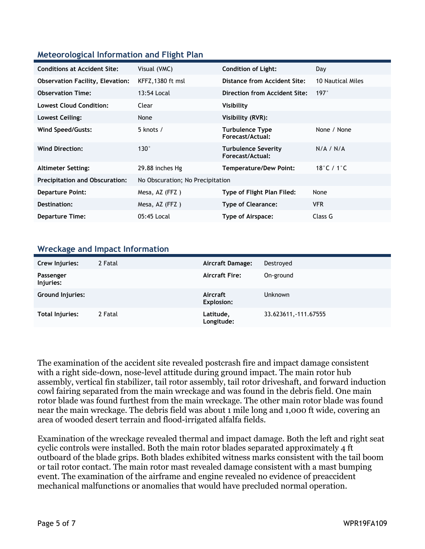### **Meteorological Information and Flight Plan**

| <b>Conditions at Accident Site:</b>     | Visual (VMC)                     | <b>Condition of Light:</b>                     | Day                              |
|-----------------------------------------|----------------------------------|------------------------------------------------|----------------------------------|
| <b>Observation Facility, Elevation:</b> | KFFZ, 1380 ft msl                | Distance from Accident Site:                   | 10 Nautical Miles                |
| <b>Observation Time:</b>                | 13:54 Local                      | Direction from Accident Site:                  | 197°                             |
| <b>Lowest Cloud Condition:</b>          | Clear                            | Visibility                                     |                                  |
| Lowest Ceiling:                         | None                             | Visibility (RVR):                              |                                  |
| Wind Speed/Gusts:                       | 5 knots $/$                      | <b>Turbulence Type</b><br>Forecast/Actual:     | None / None                      |
| <b>Wind Direction:</b>                  | $130^\circ$                      | <b>Turbulence Severity</b><br>Forecast/Actual: | N/A / N/A                        |
| <b>Altimeter Setting:</b>               | 29.88 inches Hg                  | <b>Temperature/Dew Point:</b>                  | 18 $^{\circ}$ C / 1 $^{\circ}$ C |
| <b>Precipitation and Obscuration:</b>   | No Obscuration; No Precipitation |                                                |                                  |
| <b>Departure Point:</b>                 | Mesa, AZ (FFZ)                   | Type of Flight Plan Filed:                     | None                             |
| Destination:                            | Mesa, AZ (FFZ)                   | <b>Type of Clearance:</b>                      | <b>VFR</b>                       |
| <b>Departure Time:</b>                  | 05:45 Local                      | Type of Airspace:                              | Class G                          |

#### **Wreckage and Impact Information**

| Crew Injuries:          | 2 Fatal | <b>Aircraft Damage:</b>       | Destroyed             |
|-------------------------|---------|-------------------------------|-----------------------|
| Passenger<br>Injuries:  |         | <b>Aircraft Fire:</b>         | On-ground             |
| <b>Ground Injuries:</b> |         | Aircraft<br><b>Explosion:</b> | <b>Unknown</b>        |
| Total Injuries:         | 2 Fatal | Latitude,<br>Longitude:       | 33.623611, -111.67555 |

The examination of the accident site revealed postcrash fire and impact damage consistent with a right side-down, nose-level attitude during ground impact. The main rotor hub assembly, vertical fin stabilizer, tail rotor assembly, tail rotor driveshaft, and forward induction cowl fairing separated from the main wreckage and was found in the debris field. One main rotor blade was found furthest from the main wreckage. The other main rotor blade was found near the main wreckage. The debris field was about 1 mile long and 1,000 ft wide, covering an area of wooded desert terrain and flood-irrigated alfalfa fields.

Examination of the wreckage revealed thermal and impact damage. Both the left and right seat cyclic controls were installed. Both the main rotor blades separated approximately 4 ft outboard of the blade grips. Both blades exhibited witness marks consistent with the tail boom or tail rotor contact. The main rotor mast revealed damage consistent with a mast bumping event. The examination of the airframe and engine revealed no evidence of preaccident mechanical malfunctions or anomalies that would have precluded normal operation.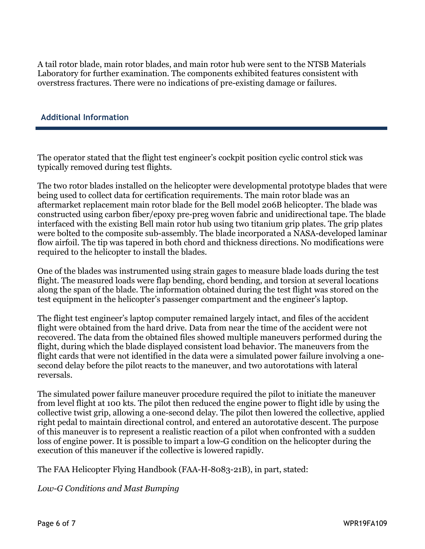A tail rotor blade, main rotor blades, and main rotor hub were sent to the NTSB Materials Laboratory for further examination. The components exhibited features consistent with overstress fractures. There were no indications of pre-existing damage or failures.

### **Additional Information**

The operator stated that the flight test engineer's cockpit position cyclic control stick was typically removed during test flights.

The two rotor blades installed on the helicopter were developmental prototype blades that were being used to collect data for certification requirements. The main rotor blade was an aftermarket replacement main rotor blade for the Bell model 206B helicopter. The blade was constructed using carbon fiber/epoxy pre-preg woven fabric and unidirectional tape. The blade interfaced with the existing Bell main rotor hub using two titanium grip plates. The grip plates were bolted to the composite sub-assembly. The blade incorporated a NASA-developed laminar flow airfoil. The tip was tapered in both chord and thickness directions. No modifications were required to the helicopter to install the blades.

One of the blades was instrumented using strain gages to measure blade loads during the test flight. The measured loads were flap bending, chord bending, and torsion at several locations along the span of the blade. The information obtained during the test flight was stored on the test equipment in the helicopter's passenger compartment and the engineer's laptop.

The flight test engineer's laptop computer remained largely intact, and files of the accident flight were obtained from the hard drive. Data from near the time of the accident were not recovered. The data from the obtained files showed multiple maneuvers performed during the flight, during which the blade displayed consistent load behavior. The maneuvers from the flight cards that were not identified in the data were a simulated power failure involving a onesecond delay before the pilot reacts to the maneuver, and two autorotations with lateral reversals.

The simulated power failure maneuver procedure required the pilot to initiate the maneuver from level flight at 100 kts. The pilot then reduced the engine power to flight idle by using the collective twist grip, allowing a one-second delay. The pilot then lowered the collective, applied right pedal to maintain directional control, and entered an autorotative descent. The purpose of this maneuver is to represent a realistic reaction of a pilot when confronted with a sudden loss of engine power. It is possible to impart a low-G condition on the helicopter during the execution of this maneuver if the collective is lowered rapidly.

The FAA Helicopter Flying Handbook (FAA-H-8083-21B), in part, stated:

*Low-G Conditions and Mast Bumping*